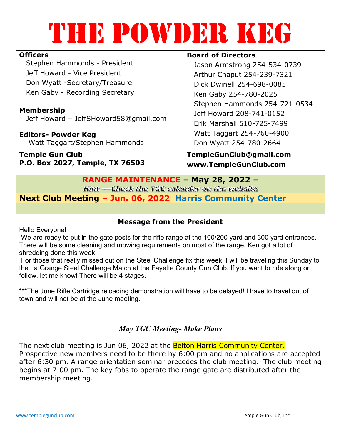| THE POWDER KRA                                             |                               |
|------------------------------------------------------------|-------------------------------|
| <b>Officers</b>                                            | <b>Board of Directors</b>     |
| Stephen Hammonds - President                               | Jason Armstrong 254-534-0739  |
| Jeff Howard - Vice President                               | Arthur Chaput 254-239-7321    |
| Don Wyatt -Secretary/Treasure                              | Dick Dwinell 254-698-0085     |
| Ken Gaby - Recording Secretary                             | Ken Gaby 254-780-2025         |
|                                                            | Stephen Hammonds 254-721-0534 |
| <b>Membership</b><br>Jeff Howard - JeffSHoward58@gmail.com | Jeff Howard 208-741-0152      |
|                                                            | Erik Marshall 510-725-7499    |
| <b>Editors- Powder Keg</b>                                 | Watt Taggart 254-760-4900     |
| Watt Taggart/Stephen Hammonds                              | Don Wyatt 254-780-2664        |
| <b>Temple Gun Club</b>                                     | TempleGunClub@gmail.com       |
| P.O. Box 2027, Temple, TX 76503                            | www.TempleGunClub.com         |

# **RANGE MAINTENANCE – May 28, 2022 –**

Hint --- Check the TGC calender on the website

**Next Club Meeting – Jun. 06, 2022 Harris Community Center**

## **Message from the President**

Hello Everyone!

We are ready to put in the gate posts for the rifle range at the 100/200 yard and 300 yard entrances. There will be some cleaning and mowing requirements on most of the range. Ken got a lot of shredding done this week!

For those that really missed out on the Steel Challenge fix this week, I will be traveling this Sunday to the La Grange Steel Challenge Match at the Fayette County Gun Club. If you want to ride along or follow, let me know! There will be 4 stages.

\*\*\*The June Rifle Cartridge reloading demonstration will have to be delayed! I have to travel out of town and will not be at the June meeting.

# *May TGC Meeting- Make Plans*

The next club meeting is Jun 06, 2022 at the **Belton Harris Community Center.** Prospective new members need to be there by 6:00 pm and no applications are accepted after 6:30 pm. A range orientation seminar precedes the club meeting. The club meeting begins at 7:00 pm. The key fobs to operate the range gate are distributed after the membership meeting.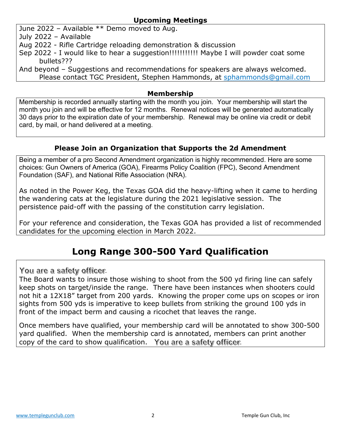## **Upcoming Meetings**

June 2022 – Available \*\* Demo moved to Aug.

July 2022 – Available

- Aug 2022 Rifle Cartridge reloading demonstration & discussion
- Sep 2022 I would like to hear a suggestion!!!!!!!!!!!!! Maybe I will powder coat some bullets???

And beyond – Suggestions and recommendations for speakers are always welcomed. Please contact TGC President, Stephen Hammonds, at sphammonds@gmail.com

#### **Membership**

Membership is recorded annually starting with the month you join. Your membership will start the month you join and will be effective for 12 months. Renewal notices will be generated automatically 30 days prior to the expiration date of your membership. Renewal may be online via credit or debit card, by mail, or hand delivered at a meeting.

# **Please Join an Organization that Supports the 2d Amendment**

Being a member of a pro Second Amendment organization is highly recommended. Here are some choices: Gun Owners of America (GOA), Firearms Policy Coalition (FPC), Second Amendment Foundation (SAF), and National Rifle Association (NRA).

As noted in the Power Keg, the Texas GOA did the heavy-lifting when it came to herding the wandering cats at the legislature during the 2021 legislative session. The persistence paid-off with the passing of the constitution carry legislation.

For your reference and consideration, the Texas GOA has provided a list of recommended candidates for the upcoming election in March 2022.

# **Long Range 300-500 Yard Qualification**

You are a safety officer.

The Board wants to insure those wishing to shoot from the 500 yd firing line can safely keep shots on target/inside the range. There have been instances when shooters could not hit a 12X18" target from 200 yards. Knowing the proper come ups on scopes or iron sights from 500 yds is imperative to keep bullets from striking the ground 100 yds in front of the impact berm and causing a ricochet that leaves the range.

Once members have qualified, your membership card will be annotated to show 300-500 yard qualified. When the membership card is annotated, members can print another copy of the card to show qualification. You are a safety officer.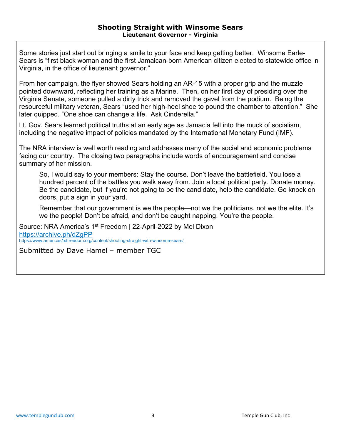Some stories just start out bringing a smile to your face and keep getting better. Winsome Earle-Sears is "first black woman and the first Jamaican-born American citizen elected to statewide office in Virginia, in the office of lieutenant governor."

From her campaign, the flyer showed Sears holding an AR-15 with a proper grip and the muzzle pointed downward, reflecting her training as a Marine. Then, on her first day of presiding over the Virginia Senate, someone pulled a dirty trick and removed the gavel from the podium. Being the resourceful military veteran, Sears "used her high-heel shoe to pound the chamber to attention." She later quipped, "One shoe can change a life. Ask Cinderella."

Lt. Gov. Sears learned political truths at an early age as Jamacia fell into the muck of socialism, including the negative impact of policies mandated by the International Monetary Fund (IMF).

The NRA interview is well worth reading and addresses many of the social and economic problems facing our country. The closing two paragraphs include words of encouragement and concise summary of her mission.

So, I would say to your members: Stay the course. Don't leave the battlefield. You lose a hundred percent of the battles you walk away from. Join a local political party. Donate money. Be the candidate, but if you're not going to be the candidate, help the candidate. Go knock on doors, put a sign in your yard.

Remember that our government is we the people—not we the politicians, not we the elite. It's we the people! Don't be afraid, and don't be caught napping. You're the people.

Source: NRA America's 1<sup>st</sup> Freedom | 22-April-2022 by Mel Dixon https://archive.ph/dZgPP https://www.americas1stfreedom.org/content/shooting-straight-with-winsome-sears/

Submitted by Dave Hamel – member TGC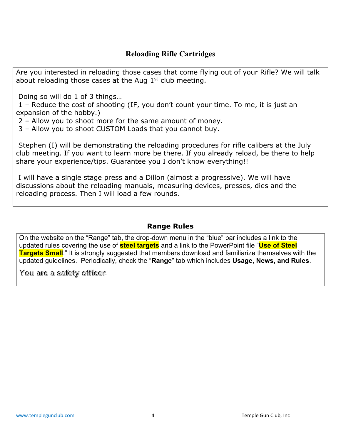# **Reloading Rifle Cartridges**

Are you interested in reloading those cases that come flying out of your Rifle? We will talk about reloading those cases at the Aug  $1<sup>st</sup>$  club meeting.

Doing so will do 1 of 3 things…

1 – Reduce the cost of shooting (IF, you don't count your time. To me, it is just an expansion of the hobby.)

2 – Allow you to shoot more for the same amount of money.

3 – Allow you to shoot CUSTOM Loads that you cannot buy.

Stephen (I) will be demonstrating the reloading procedures for rifle calibers at the July club meeting. If you want to learn more be there. If you already reload, be there to help share your experience/tips. Guarantee you I don't know everything!!

I will have a single stage press and a Dillon (almost a progressive). We will have discussions about the reloading manuals, measuring devices, presses, dies and the reloading process. Then I will load a few rounds.

## **Range Rules**

On the website on the "Range" tab, the drop-down menu in the "blue" bar includes a link to the updated rules covering the use of **steel targets** and a link to the PowerPoint file "**Use of Steel Targets Small**." It is strongly suggested that members download and familiarize themselves with the updated guidelines. Periodically, check the "**Range**" tab which includes **Usage, News, and Rules**.

You are a safety officer.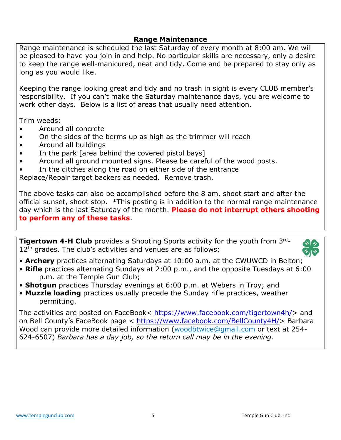### **Range Maintenance**

Range maintenance is scheduled the last Saturday of every month at 8:00 am. We will be pleased to have you join in and help. No particular skills are necessary, only a desire to keep the range well-manicured, neat and tidy. Come and be prepared to stay only as long as you would like.

Keeping the range looking great and tidy and no trash in sight is every CLUB member's responsibility. If you can't make the Saturday maintenance days, you are welcome to work other days. Below is a list of areas that usually need attention.

Trim weeds:

- Around all concrete
- On the sides of the berms up as high as the trimmer will reach
- Around all buildings
- In the park [area behind the covered pistol bays]
- Around all ground mounted signs. Please be careful of the wood posts.
- In the ditches along the road on either side of the entrance

Replace/Repair target backers as needed. Remove trash.

The above tasks can also be accomplished before the 8 am, shoot start and after the official sunset, shoot stop. \*This posting is in addition to the normal range maintenance day which is the last Saturday of the month. **Please do not interrupt others shooting to perform any of these tasks**.

**Tigertown 4-H Club** provides a Shooting Sports activity for the youth from 3<sup>rd</sup>- $12<sup>th</sup>$  grades. The club's activities and venues are as follows:



- **Archery** practices alternating Saturdays at 10:00 a.m. at the CWUWCD in Belton;
- **Rifle** practices alternating Sundays at 2:00 p.m., and the opposite Tuesdays at 6:00 p.m. at the Temple Gun Club;
- **Shotgun** practices Thursday evenings at 6:00 p.m. at Webers in Troy; and
- **Muzzle loading** practices usually precede the Sunday rifle practices, weather permitting.

The activities are posted on FaceBook< https://www.facebook.com/tigertown4h/> and on Bell County's FaceBook page < https://www.facebook.com/BellCounty4H/> Barbara Wood can provide more detailed information (woodbtwice@gmail.com or text at 254- 624-6507) *Barbara has a day job, so the return call may be in the evening.*